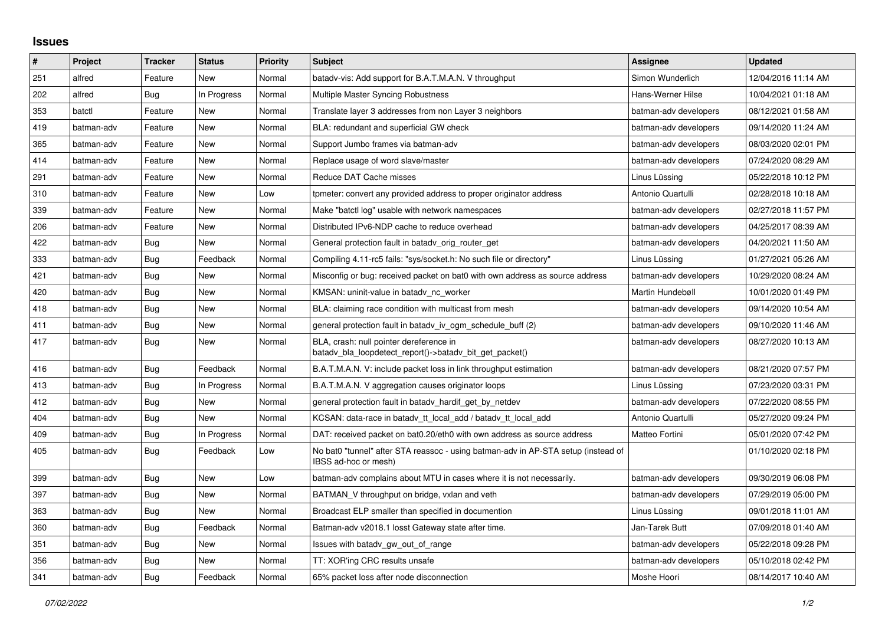## **Issues**

| $\pmb{\sharp}$ | Project    | <b>Tracker</b> | <b>Status</b> | Priority | <b>Subject</b>                                                                                            | Assignee              | <b>Updated</b>      |
|----------------|------------|----------------|---------------|----------|-----------------------------------------------------------------------------------------------------------|-----------------------|---------------------|
| 251            | alfred     | Feature        | <b>New</b>    | Normal   | batady-vis: Add support for B.A.T.M.A.N. V throughput                                                     | Simon Wunderlich      | 12/04/2016 11:14 AM |
| 202            | alfred     | Bug            | In Progress   | Normal   | Multiple Master Syncing Robustness                                                                        | Hans-Werner Hilse     | 10/04/2021 01:18 AM |
| 353            | batctl     | Feature        | New           | Normal   | Translate layer 3 addresses from non Layer 3 neighbors                                                    | batman-adv developers | 08/12/2021 01:58 AM |
| 419            | batman-adv | Feature        | <b>New</b>    | Normal   | BLA: redundant and superficial GW check                                                                   | batman-adv developers | 09/14/2020 11:24 AM |
| 365            | batman-adv | Feature        | <b>New</b>    | Normal   | Support Jumbo frames via batman-adv                                                                       | batman-adv developers | 08/03/2020 02:01 PM |
| 414            | batman-adv | Feature        | New           | Normal   | Replace usage of word slave/master                                                                        | batman-adv developers | 07/24/2020 08:29 AM |
| 291            | batman-adv | Feature        | <b>New</b>    | Normal   | Reduce DAT Cache misses                                                                                   | Linus Lüssing         | 05/22/2018 10:12 PM |
| 310            | batman-adv | Feature        | New           | Low      | tpmeter: convert any provided address to proper originator address                                        | Antonio Quartulli     | 02/28/2018 10:18 AM |
| 339            | batman-adv | Feature        | <b>New</b>    | Normal   | Make "batctl log" usable with network namespaces                                                          | batman-adv developers | 02/27/2018 11:57 PM |
| 206            | batman-adv | Feature        | <b>New</b>    | Normal   | Distributed IPv6-NDP cache to reduce overhead                                                             | batman-adv developers | 04/25/2017 08:39 AM |
| 422            | batman-adv | Bug            | New           | Normal   | General protection fault in batady orig router get                                                        | batman-adv developers | 04/20/2021 11:50 AM |
| 333            | batman-adv | Bug            | Feedback      | Normal   | Compiling 4.11-rc5 fails: "sys/socket.h: No such file or directory"                                       | Linus Lüssing         | 01/27/2021 05:26 AM |
| 421            | batman-adv | <b>Bug</b>     | <b>New</b>    | Normal   | Misconfig or bug: received packet on bat0 with own address as source address                              | batman-adv developers | 10/29/2020 08:24 AM |
| 420            | batman-adv | Bug            | <b>New</b>    | Normal   | KMSAN: uninit-value in batady nc worker                                                                   | Martin Hundebøll      | 10/01/2020 01:49 PM |
| 418            | batman-adv | Bug            | New           | Normal   | BLA: claiming race condition with multicast from mesh                                                     | batman-adv developers | 09/14/2020 10:54 AM |
| 411            | batman-adv | Bug            | <b>New</b>    | Normal   | general protection fault in batady iv ogm schedule buff (2)                                               | batman-adv developers | 09/10/2020 11:46 AM |
| 417            | batman-adv | Bug            | <b>New</b>    | Normal   | BLA, crash: null pointer dereference in<br>batady_bla_loopdetect_report()->batady_bit_get_packet()        | batman-adv developers | 08/27/2020 10:13 AM |
| 416            | batman-adv | <b>Bug</b>     | Feedback      | Normal   | B.A.T.M.A.N. V: include packet loss in link throughput estimation                                         | batman-adv developers | 08/21/2020 07:57 PM |
| 413            | batman-adv | Bug            | In Progress   | Normal   | B.A.T.M.A.N. V aggregation causes originator loops                                                        | Linus Lüssing         | 07/23/2020 03:31 PM |
| 412            | batman-adv | Bug            | New           | Normal   | general protection fault in batady_hardif_get_by_netdev                                                   | batman-adv developers | 07/22/2020 08:55 PM |
| 404            | batman-adv | Bug            | New           | Normal   | KCSAN: data-race in batady tt local add / batady tt local add                                             | Antonio Quartulli     | 05/27/2020 09:24 PM |
| 409            | batman-adv | Bug            | In Progress   | Normal   | DAT: received packet on bat0.20/eth0 with own address as source address                                   | Matteo Fortini        | 05/01/2020 07:42 PM |
| 405            | batman-adv | Bug            | Feedback      | Low      | No bat0 "tunnel" after STA reassoc - using batman-adv in AP-STA setup (instead of<br>IBSS ad-hoc or mesh) |                       | 01/10/2020 02:18 PM |
| 399            | batman-adv | Bug            | <b>New</b>    | Low      | batman-adv complains about MTU in cases where it is not necessarily.                                      | batman-adv developers | 09/30/2019 06:08 PM |
| 397            | batman-adv | Bug            | <b>New</b>    | Normal   | BATMAN V throughput on bridge, vxlan and veth                                                             | batman-adv developers | 07/29/2019 05:00 PM |
| 363            | batman-adv | Bug            | <b>New</b>    | Normal   | Broadcast ELP smaller than specified in documention                                                       | Linus Lüssing         | 09/01/2018 11:01 AM |
| 360            | batman-adv | Bug            | Feedback      | Normal   | Batman-adv v2018.1 losst Gateway state after time.                                                        | Jan-Tarek Butt        | 07/09/2018 01:40 AM |
| 351            | batman-adv | Bug            | New           | Normal   | Issues with batady gw out of range                                                                        | batman-adv developers | 05/22/2018 09:28 PM |
| 356            | batman-adv | <b>Bug</b>     | New           | Normal   | TT: XOR'ing CRC results unsafe                                                                            | batman-adv developers | 05/10/2018 02:42 PM |
| 341            | batman-adv | Bug            | Feedback      | Normal   | 65% packet loss after node disconnection                                                                  | Moshe Hoori           | 08/14/2017 10:40 AM |